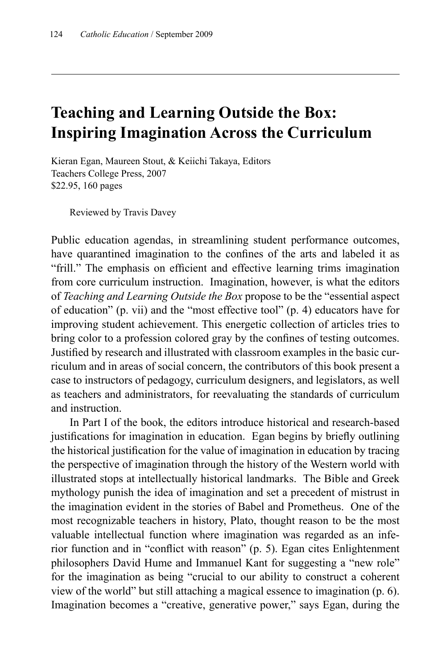## **Teaching and Learning Outside the Box: Inspiring Imagination Across the Curriculum**

Kieran Egan, Maureen Stout, & Keiichi Takaya, Editors Teachers College Press, 2007 \$22.95, 160 pages

Reviewed by Travis Davey

Public education agendas, in streamlining student performance outcomes, have quarantined imagination to the confines of the arts and labeled it as "frill." The emphasis on efficient and effective learning trims imagination from core curriculum instruction. Imagination, however, is what the editors of *Teaching and Learning Outside the Box* propose to be the "essential aspect of education" (p. vii) and the "most effective tool" (p. 4) educators have for improving student achievement. This energetic collection of articles tries to bring color to a profession colored gray by the confines of testing outcomes. Justified by research and illustrated with classroom examples in the basic curriculum and in areas of social concern, the contributors of this book present a case to instructors of pedagogy, curriculum designers, and legislators, as well as teachers and administrators, for reevaluating the standards of curriculum and instruction.

In Part I of the book, the editors introduce historical and research-based justifications for imagination in education. Egan begins by briefly outlining the historical justification for the value of imagination in education by tracing the perspective of imagination through the history of the Western world with illustrated stops at intellectually historical landmarks. The Bible and Greek mythology punish the idea of imagination and set a precedent of mistrust in the imagination evident in the stories of Babel and Prometheus. One of the most recognizable teachers in history, Plato, thought reason to be the most valuable intellectual function where imagination was regarded as an inferior function and in "conflict with reason" (p. 5). Egan cites Enlightenment philosophers David Hume and Immanuel Kant for suggesting a "new role" for the imagination as being "crucial to our ability to construct a coherent view of the world" but still attaching a magical essence to imagination (p. 6). Imagination becomes a "creative, generative power," says Egan, during the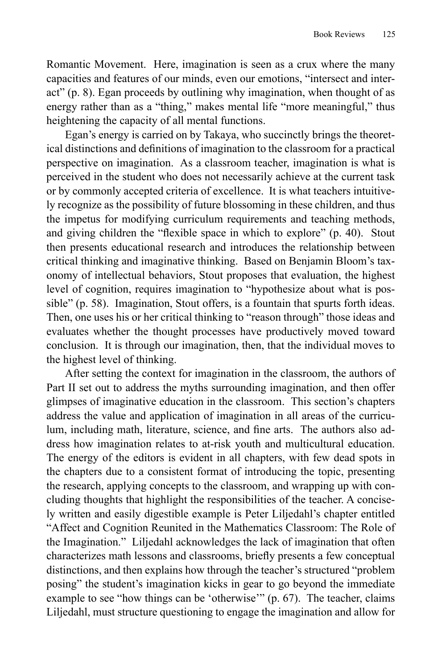Romantic Movement. Here, imagination is seen as a crux where the many capacities and features of our minds, even our emotions, "intersect and interact" (p. 8). Egan proceeds by outlining why imagination, when thought of as energy rather than as a "thing," makes mental life "more meaningful," thus heightening the capacity of all mental functions.

Egan's energy is carried on by Takaya, who succinctly brings the theoretical distinctions and definitions of imagination to the classroom for a practical perspective on imagination. As a classroom teacher, imagination is what is perceived in the student who does not necessarily achieve at the current task or by commonly accepted criteria of excellence. It is what teachers intuitively recognize as the possibility of future blossoming in these children, and thus the impetus for modifying curriculum requirements and teaching methods, and giving children the "flexible space in which to explore"  $(p. 40)$ . Stout then presents educational research and introduces the relationship between critical thinking and imaginative thinking. Based on Benjamin Bloom's taxonomy of intellectual behaviors, Stout proposes that evaluation, the highest level of cognition, requires imagination to "hypothesize about what is possible" (p. 58). Imagination, Stout offers, is a fountain that spurts forth ideas. Then, one uses his or her critical thinking to "reason through" those ideas and evaluates whether the thought processes have productively moved toward conclusion. It is through our imagination, then, that the individual moves to the highest level of thinking.

After setting the context for imagination in the classroom, the authors of Part II set out to address the myths surrounding imagination, and then offer glimpses of imaginative education in the classroom. This section's chapters address the value and application of imagination in all areas of the curriculum, including math, literature, science, and fine arts. The authors also address how imagination relates to at-risk youth and multicultural education. The energy of the editors is evident in all chapters, with few dead spots in the chapters due to a consistent format of introducing the topic, presenting the research, applying concepts to the classroom, and wrapping up with concluding thoughts that highlight the responsibilities of the teacher. A concisely written and easily digestible example is Peter Liljedahl's chapter entitled "Affect and Cognition Reunited in the Mathematics Classroom: The Role of the Imagination." Liljedahl acknowledges the lack of imagination that often characterizes math lessons and classrooms, briefly presents a few conceptual distinctions, and then explains how through the teacher's structured "problem posing" the student's imagination kicks in gear to go beyond the immediate example to see "how things can be 'otherwise'" (p. 67). The teacher, claims Liljedahl, must structure questioning to engage the imagination and allow for